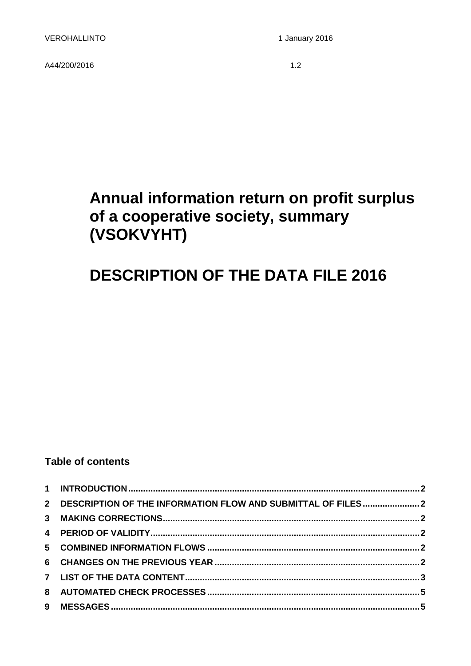A44/200/20161.2

# **Annual information return on profit surplus of a cooperative society, summary (VSOKVYHT)**

# **DESCRIPTION OF THE DATA FILE 2016**

## **Table of contents**

| 2 DESCRIPTION OF THE INFORMATION FLOW AND SUBMITTAL OF FILES2 |  |
|---------------------------------------------------------------|--|
|                                                               |  |
|                                                               |  |
|                                                               |  |
|                                                               |  |
|                                                               |  |
|                                                               |  |
|                                                               |  |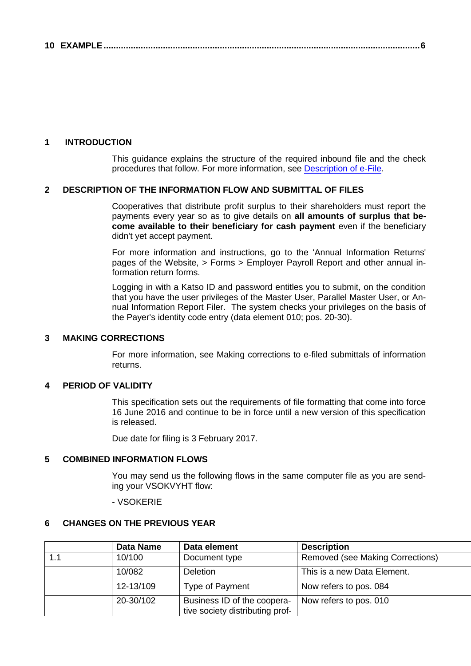#### <span id="page-1-0"></span>**1 INTRODUCTION**

This guidance explains the structure of the required inbound file and the check procedures that follow. For more information, see [Description of e-File.](http://www.vero.fi/download/Sahkoisen_ilmoittamisen_yleiskuvaus_ENGL20/%7B956D482C-4A28-48D2-BE25-00112D97AE00%7D/12064)

#### <span id="page-1-1"></span>**2 DESCRIPTION OF THE INFORMATION FLOW AND SUBMITTAL OF FILES**

Cooperatives that distribute profit surplus to their shareholders must report the payments every year so as to give details on **all amounts of surplus that become available to their beneficiary for cash payment** even if the beneficiary didn't yet accept payment.

For more information and instructions, go to the 'Annual Information Returns' pages of the Website, > Forms > Employer Payroll Report and other annual information return forms.

Logging in with a Katso ID and password entitles you to submit, on the condition that you have the user privileges of the Master User, Parallel Master User, or Annual Information Report Filer. The system checks your privileges on the basis of the Payer's identity code entry (data element 010; pos. 20-30).

### <span id="page-1-2"></span>**3 MAKING CORRECTIONS**

For more information, see Making corrections to e-filed submittals of information returns.

### <span id="page-1-3"></span>**4 PERIOD OF VALIDITY**

This specification sets out the requirements of file formatting that come into force 16 June 2016 and continue to be in force until a new version of this specification is released.

Due date for filing is 3 February 2017.

#### <span id="page-1-4"></span>**5 COMBINED INFORMATION FLOWS**

You may send us the following flows in the same computer file as you are sending your VSOKVYHT flow:

#### - VSOKERIE

#### <span id="page-1-5"></span>**6 CHANGES ON THE PREVIOUS YEAR**

|     | Data Name | Data element                                                   | <b>Description</b>               |
|-----|-----------|----------------------------------------------------------------|----------------------------------|
| 1.1 | 10/100    | Document type                                                  | Removed (see Making Corrections) |
|     | 10/082    | <b>Deletion</b>                                                | This is a new Data Element.      |
|     | 12-13/109 | Type of Payment                                                | Now refers to pos. 084           |
|     | 20-30/102 | Business ID of the coopera-<br>tive society distributing prof- | Now refers to pos. 010           |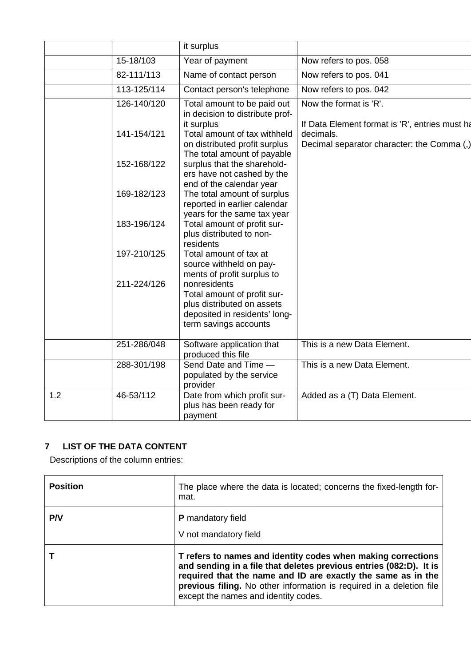|     |             | it surplus                                                                                                                          |                                                                                                           |
|-----|-------------|-------------------------------------------------------------------------------------------------------------------------------------|-----------------------------------------------------------------------------------------------------------|
|     | 15-18/103   | Year of payment                                                                                                                     | Now refers to pos. 058                                                                                    |
|     | 82-111/113  | Name of contact person                                                                                                              | Now refers to pos. 041                                                                                    |
|     | 113-125/114 | Contact person's telephone                                                                                                          | Now refers to pos. 042                                                                                    |
|     | 126-140/120 | Total amount to be paid out<br>in decision to distribute prof-                                                                      | Now the format is 'R'.                                                                                    |
|     | 141-154/121 | it surplus<br>Total amount of tax withheld<br>on distributed profit surplus<br>The total amount of payable                          | If Data Element format is 'R', entries must ha<br>decimals.<br>Decimal separator character: the Comma (,) |
|     | 152-168/122 | surplus that the sharehold-<br>ers have not cashed by the<br>end of the calendar year                                               |                                                                                                           |
|     | 169-182/123 | The total amount of surplus<br>reported in earlier calendar<br>years for the same tax year                                          |                                                                                                           |
|     | 183-196/124 | Total amount of profit sur-<br>plus distributed to non-<br>residents                                                                |                                                                                                           |
|     | 197-210/125 | Total amount of tax at<br>source withheld on pay-<br>ments of profit surplus to                                                     |                                                                                                           |
|     | 211-224/126 | nonresidents<br>Total amount of profit sur-<br>plus distributed on assets<br>deposited in residents' long-<br>term savings accounts |                                                                                                           |
|     | 251-286/048 | Software application that<br>produced this file                                                                                     | This is a new Data Element.                                                                               |
|     | 288-301/198 | Send Date and Time -<br>populated by the service<br>provider                                                                        | This is a new Data Element.                                                                               |
| 1.2 | 46-53/112   | Date from which profit sur-<br>plus has been ready for<br>payment                                                                   | Added as a (T) Data Element.                                                                              |

## <span id="page-2-0"></span>**7 LIST OF THE DATA CONTENT**

Descriptions of the column entries:

| <b>Position</b> | The place where the data is located; concerns the fixed-length for-<br>mat.                                                                                                                                                                                                                                        |
|-----------------|--------------------------------------------------------------------------------------------------------------------------------------------------------------------------------------------------------------------------------------------------------------------------------------------------------------------|
| <b>P/V</b>      | <b>P</b> mandatory field<br>V not mandatory field                                                                                                                                                                                                                                                                  |
|                 | T refers to names and identity codes when making corrections<br>and sending in a file that deletes previous entries (082:D). It is<br>required that the name and ID are exactly the same as in the<br>previous filing. No other information is required in a deletion file<br>except the names and identity codes. |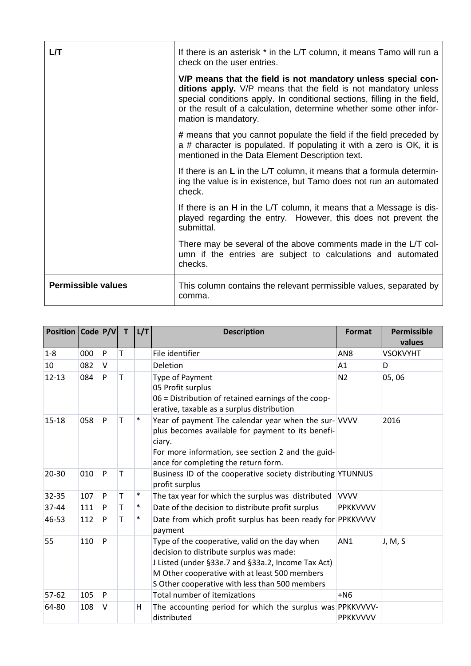| LЛ                        | If there is an asterisk * in the L/T column, it means Tamo will run a<br>check on the user entries.                                                                                                                                                                                                         |
|---------------------------|-------------------------------------------------------------------------------------------------------------------------------------------------------------------------------------------------------------------------------------------------------------------------------------------------------------|
|                           | V/P means that the field is not mandatory unless special con-<br>ditions apply. V/P means that the field is not mandatory unless<br>special conditions apply. In conditional sections, filling in the field,<br>or the result of a calculation, determine whether some other infor-<br>mation is mandatory. |
|                           | # means that you cannot populate the field if the field preceded by<br>a # character is populated. If populating it with a zero is OK, it is<br>mentioned in the Data Element Description text.                                                                                                             |
|                           | If there is an L in the L/T column, it means that a formula determin-<br>ing the value is in existence, but Tamo does not run an automated<br>check.                                                                                                                                                        |
|                           | If there is an <b>H</b> in the L/T column, it means that a Message is dis-<br>played regarding the entry. However, this does not prevent the<br>submittal.                                                                                                                                                  |
|                           | There may be several of the above comments made in the L/T col-<br>umn if the entries are subject to calculations and automated<br>checks.                                                                                                                                                                  |
| <b>Permissible values</b> | This column contains the relevant permissible values, separated by<br>comma.                                                                                                                                                                                                                                |

| Position   Code   P/V |     |   | $\mathbf{T}$ | L/T    | <b>Description</b>                                                                                                                                                                                                                                  | Format          | <b>Permissible</b><br>values |
|-----------------------|-----|---|--------------|--------|-----------------------------------------------------------------------------------------------------------------------------------------------------------------------------------------------------------------------------------------------------|-----------------|------------------------------|
| $1 - 8$               | 000 | P | T            |        | File identifier                                                                                                                                                                                                                                     | AN <sub>8</sub> | <b>VSOKVYHT</b>              |
| 10                    | 082 | V |              |        | Deletion                                                                                                                                                                                                                                            | A1              | D                            |
| $12 - 13$             | 084 | P | т            |        | Type of Payment<br>05 Profit surplus<br>06 = Distribution of retained earnings of the coop-<br>erative, taxable as a surplus distribution                                                                                                           | N <sub>2</sub>  | 05,06                        |
| $15 - 18$             | 058 | P | т            | $\ast$ | Year of payment The calendar year when the sur-VVVV<br>plus becomes available for payment to its benefi-<br>ciary.<br>For more information, see section 2 and the guid-<br>ance for completing the return form.                                     |                 | 2016                         |
| $20 - 30$             | 010 | P | T            |        | Business ID of the cooperative society distributing YTUNNUS<br>profit surplus                                                                                                                                                                       |                 |                              |
| 32-35                 | 107 | P | T            | $\ast$ | The tax year for which the surplus was distributed                                                                                                                                                                                                  | <b>VVVV</b>     |                              |
| 37-44                 | 111 | P | т            | $\ast$ | Date of the decision to distribute profit surplus                                                                                                                                                                                                   | <b>PPKKVVVV</b> |                              |
| 46-53                 | 112 | P | т            | $\ast$ | Date from which profit surplus has been ready for PPKKVVVV<br>payment                                                                                                                                                                               |                 |                              |
| 55                    | 110 | P |              |        | Type of the cooperative, valid on the day when<br>decision to distribute surplus was made:<br>J Listed (under §33e.7 and §33a.2, Income Tax Act)<br>M Other cooperative with at least 500 members<br>S Other cooperative with less than 500 members | AN1             | J, M, S                      |
| $57 - 62$             | 105 | P |              |        | Total number of itemizations                                                                                                                                                                                                                        | $+NG$           |                              |
| 64-80                 | 108 | V |              | н      | The accounting period for which the surplus was PPKKVVVV-<br>distributed                                                                                                                                                                            | <b>PPKKVVVV</b> |                              |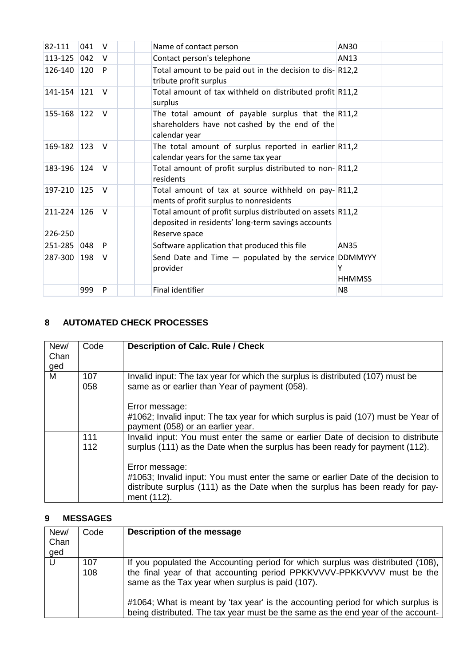| 82-111  | 041        | V      | Name of contact person                                                                                                  | AN30           |
|---------|------------|--------|-------------------------------------------------------------------------------------------------------------------------|----------------|
| 113-125 | 042        | V      | Contact person's telephone                                                                                              | AN13           |
| 126-140 | 120        | P      | Total amount to be paid out in the decision to dis- $ R12,2$<br>tribute profit surplus                                  |                |
| 141-154 | <b>121</b> | V      | Total amount of tax withheld on distributed profit R11,2<br>surplus                                                     |                |
| 155-168 | $122$      | V      | The total amount of payable surplus that the $R11,2$<br>shareholders have not cashed by the end of the<br>calendar year |                |
| 169-182 | 123        | V      | The total amount of surplus reported in earlier $R11,2$<br>calendar years for the same tax year                         |                |
| 183-196 | 124        | $\vee$ | Total amount of profit surplus distributed to non-R11,2<br>residents                                                    |                |
| 197-210 | <b>125</b> | $\vee$ | Total amount of tax at source withheld on pay-R11,2<br>ments of profit surplus to nonresidents                          |                |
| 211-224 | 126        | $\vee$ | Total amount of profit surplus distributed on assets R11,2<br>deposited in residents' long-term savings accounts        |                |
| 226-250 |            |        | Reserve space                                                                                                           |                |
| 251-285 | 048        | P      | Software application that produced this file                                                                            | AN35           |
| 287-300 | 198        | V      | Send Date and Time $-$ populated by the service DDMMYYY<br>provider                                                     | <b>HHMMSS</b>  |
|         | 999        | P      | Final identifier                                                                                                        | N <sub>8</sub> |

## <span id="page-4-0"></span>**8 AUTOMATED CHECK PROCESSES**

| New/<br>Chan<br>ged | Code       | <b>Description of Calc. Rule / Check</b>                                                                                                                                                                                                                                                                                                                               |
|---------------------|------------|------------------------------------------------------------------------------------------------------------------------------------------------------------------------------------------------------------------------------------------------------------------------------------------------------------------------------------------------------------------------|
| M                   | 107<br>058 | Invalid input: The tax year for which the surplus is distributed (107) must be<br>same as or earlier than Year of payment (058).<br>Error message:<br>#1062; Invalid input: The tax year for which surplus is paid (107) must be Year of<br>payment (058) or an earlier year.                                                                                          |
|                     | 111<br>112 | Invalid input: You must enter the same or earlier Date of decision to distribute<br>surplus (111) as the Date when the surplus has been ready for payment (112).<br>Error message:<br>#1063; Invalid input: You must enter the same or earlier Date of the decision to<br>distribute surplus (111) as the Date when the surplus has been ready for pay-<br>ment (112). |

## <span id="page-4-1"></span>**9 MESSAGES**

| New/<br>Chan<br>ged | Code       | Description of the message                                                                                                                                                                                                                                                                        |
|---------------------|------------|---------------------------------------------------------------------------------------------------------------------------------------------------------------------------------------------------------------------------------------------------------------------------------------------------|
|                     | 107<br>108 | If you populated the Accounting period for which surplus was distributed (108),<br>the final year of that accounting period PPKKVVVV-PPKKVVVV must be the<br>same as the Tax year when surplus is paid (107).<br>#1064; What is meant by 'tax year' is the accounting period for which surplus is |
|                     |            | being distributed. The tax year must be the same as the end year of the account-                                                                                                                                                                                                                  |